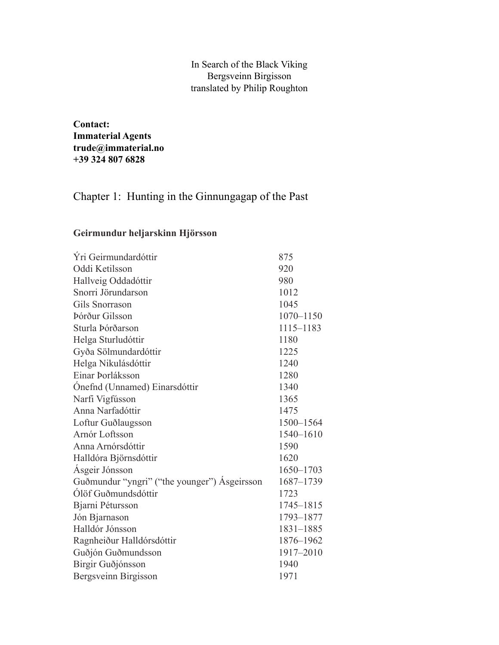## In Search of the Black Viking Bergsveinn Birgisson translated by Philip Roughton

**Contact: Immaterial Agents trude@immaterial.no +39 324 807 6828**

## Chapter 1: Hunting in the Ginnungagap of the Past

## **Geirmundur heljarskinn Hjörsson**

| 875       |
|-----------|
| 920       |
| 980       |
| 1012      |
|           |
| 1045      |
| 1070-1150 |
| 1115-1183 |
| 1180      |
| 1225      |
| 1240      |
| 1280      |
| 1340      |
| 1365      |
| 1475      |
| 1500-1564 |
| 1540-1610 |
| 1590      |
| 1620      |
| 1650-1703 |
| 1687-1739 |
| 1723      |
| 1745-1815 |
| 1793-1877 |
| 1831-1885 |
| 1876-1962 |
| 1917-2010 |
| 1940      |
| 1971      |
|           |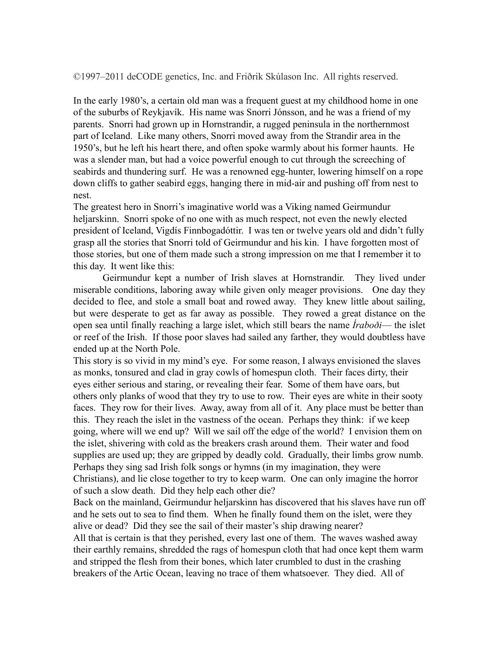©1997–2011 deCODE genetics, Inc. and Friðrik Skúlason Inc. All rights reserved.

In the early 1980's, a certain old man was a frequent guest at my childhood home in one of the suburbs of Reykjavík. His name was Snorri Jónsson, and he was a friend of my parents. Snorri had grown up in Hornstrandir, a rugged peninsula in the northernmost part of Iceland. Like many others, Snorri moved away from the Strandir area in the 1950's, but he left his heart there, and often spoke warmly about his former haunts. He was a slender man, but had a voice powerful enough to cut through the screeching of seabirds and thundering surf. He was a renowned egg-hunter, lowering himself on a rope down cliffs to gather seabird eggs, hanging there in mid-air and pushing off from nest to nest.

The greatest hero in Snorri's imaginative world was a Viking named Geirmundur heljarskinn. Snorri spoke of no one with as much respect, not even the newly elected president of Iceland, Vigdís Finnbogadóttir. I was ten or twelve years old and didn't fully grasp all the stories that Snorri told of Geirmundur and his kin. I have forgotten most of those stories, but one of them made such a strong impression on me that I remember it to this day. It went like this:

Geirmundur kept a number of Irish slaves at Hornstrandir. They lived under miserable conditions, laboring away while given only meager provisions. One day they decided to flee, and stole a small boat and rowed away. They knew little about sailing, but were desperate to get as far away as possible. They rowed a great distance on the open sea until finally reaching a large islet, which still bears the name *Íraboði*— the islet or reef of the Irish. If those poor slaves had sailed any farther, they would doubtless have ended up at the North Pole.

This story is so vivid in my mind's eye. For some reason, I always envisioned the slaves as monks, tonsured and clad in gray cowls of homespun cloth. Their faces dirty, their eyes either serious and staring, or revealing their fear. Some of them have oars, but others only planks of wood that they try to use to row. Their eyes are white in their sooty faces. They row for their lives. Away, away from all of it. Any place must be better than this. They reach the islet in the vastness of the ocean. Perhaps they think: if we keep going, where will we end up? Will we sail off the edge of the world? I envision them on the islet, shivering with cold as the breakers crash around them. Their water and food supplies are used up; they are gripped by deadly cold. Gradually, their limbs grow numb. Perhaps they sing sad Irish folk songs or hymns (in my imagination, they were Christians), and lie close together to try to keep warm. One can only imagine the horror of such a slow death. Did they help each other die?

Back on the mainland, Geirmundur heljarskinn has discovered that his slaves have run off and he sets out to sea to find them. When he finally found them on the islet, were they alive or dead? Did they see the sail of their master's ship drawing nearer?

All that is certain is that they perished, every last one of them. The waves washed away their earthly remains, shredded the rags of homespun cloth that had once kept them warm and stripped the flesh from their bones, which later crumbled to dust in the crashing breakers of the Artic Ocean, leaving no trace of them whatsoever. They died. All of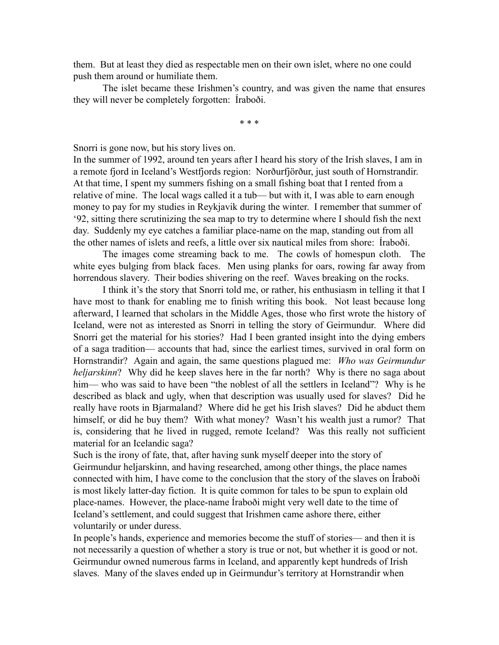them. But at least they died as respectable men on their own islet, where no one could push them around or humiliate them.

The islet became these Irishmen's country, and was given the name that ensures they will never be completely forgotten: Íraboði.

\* \* \*

Snorri is gone now, but his story lives on.

In the summer of 1992, around ten years after I heard his story of the Irish slaves, I am in a remote fjord in Iceland's Westfjords region: Norðurfjörður, just south of Hornstrandir. At that time, I spent my summers fishing on a small fishing boat that I rented from a relative of mine. The local wags called it a tub— but with it, I was able to earn enough money to pay for my studies in Reykjavik during the winter. I remember that summer of '92, sitting there scrutinizing the sea map to try to determine where I should fish the next day. Suddenly my eye catches a familiar place-name on the map, standing out from all the other names of islets and reefs, a little over six nautical miles from shore: Íraboði.

The images come streaming back to me. The cowls of homespun cloth. The white eyes bulging from black faces. Men using planks for oars, rowing far away from horrendous slavery. Their bodies shivering on the reef. Waves breaking on the rocks.

I think it's the story that Snorri told me, or rather, his enthusiasm in telling it that I have most to thank for enabling me to finish writing this book. Not least because long afterward, I learned that scholars in the Middle Ages, those who first wrote the history of Iceland, were not as interested as Snorri in telling the story of Geirmundur. Where did Snorri get the material for his stories? Had I been granted insight into the dying embers of a saga tradition— accounts that had, since the earliest times, survived in oral form on Hornstrandir? Again and again, the same questions plagued me: *Who was Geirmundur heljarskinn*? Why did he keep slaves here in the far north? Why is there no saga about him— who was said to have been "the noblest of all the settlers in Iceland"? Why is he described as black and ugly, when that description was usually used for slaves? Did he really have roots in Bjarmaland? Where did he get his Irish slaves? Did he abduct them himself, or did he buy them? With what money? Wasn't his wealth just a rumor? That is, considering that he lived in rugged, remote Iceland? Was this really not sufficient material for an Icelandic saga?

Such is the irony of fate, that, after having sunk myself deeper into the story of Geirmundur heljarskinn, and having researched, among other things, the place names connected with him, I have come to the conclusion that the story of the slaves on Íraboði is most likely latter-day fiction. It is quite common for tales to be spun to explain old place-names. However, the place-name Íraboði might very well date to the time of Iceland's settlement, and could suggest that Irishmen came ashore there, either voluntarily or under duress.

In people's hands, experience and memories become the stuff of stories— and then it is not necessarily a question of whether a story is true or not, but whether it is good or not. Geirmundur owned numerous farms in Iceland, and apparently kept hundreds of Irish slaves. Many of the slaves ended up in Geirmundur's territory at Hornstrandir when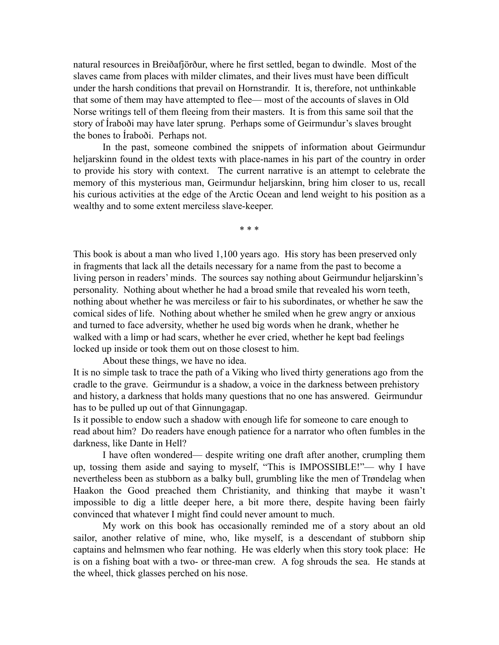natural resources in Breiðafjörður, where he first settled, began to dwindle. Most of the slaves came from places with milder climates, and their lives must have been difficult under the harsh conditions that prevail on Hornstrandir. It is, therefore, not unthinkable that some of them may have attempted to flee— most of the accounts of slaves in Old Norse writings tell of them fleeing from their masters. It is from this same soil that the story of Íraboði may have later sprung. Perhaps some of Geirmundur's slaves brought the bones to Íraboði. Perhaps not.

In the past, someone combined the snippets of information about Geirmundur heljarskinn found in the oldest texts with place-names in his part of the country in order to provide his story with context. The current narrative is an attempt to celebrate the memory of this mysterious man, Geirmundur heljarskinn, bring him closer to us, recall his curious activities at the edge of the Arctic Ocean and lend weight to his position as a wealthy and to some extent merciless slave-keeper.

\* \* \*

This book is about a man who lived 1,100 years ago. His story has been preserved only in fragments that lack all the details necessary for a name from the past to become a living person in readers' minds. The sources say nothing about Geirmundur heljarskinn's personality. Nothing about whether he had a broad smile that revealed his worn teeth, nothing about whether he was merciless or fair to his subordinates, or whether he saw the comical sides of life. Nothing about whether he smiled when he grew angry or anxious and turned to face adversity, whether he used big words when he drank, whether he walked with a limp or had scars, whether he ever cried, whether he kept bad feelings locked up inside or took them out on those closest to him.

About these things, we have no idea.

It is no simple task to trace the path of a Viking who lived thirty generations ago from the cradle to the grave. Geirmundur is a shadow, a voice in the darkness between prehistory and history, a darkness that holds many questions that no one has answered. Geirmundur has to be pulled up out of that Ginnungagap.

Is it possible to endow such a shadow with enough life for someone to care enough to read about him? Do readers have enough patience for a narrator who often fumbles in the darkness, like Dante in Hell?

I have often wondered— despite writing one draft after another, crumpling them up, tossing them aside and saying to myself, "This is IMPOSSIBLE!"— why I have nevertheless been as stubborn as a balky bull, grumbling like the men of Trøndelag when Haakon the Good preached them Christianity, and thinking that maybe it wasn't impossible to dig a little deeper here, a bit more there, despite having been fairly convinced that whatever I might find could never amount to much.

My work on this book has occasionally reminded me of a story about an old sailor, another relative of mine, who, like myself, is a descendant of stubborn ship captains and helmsmen who fear nothing. He was elderly when this story took place: He is on a fishing boat with a two- or three-man crew. A fog shrouds the sea. He stands at the wheel, thick glasses perched on his nose.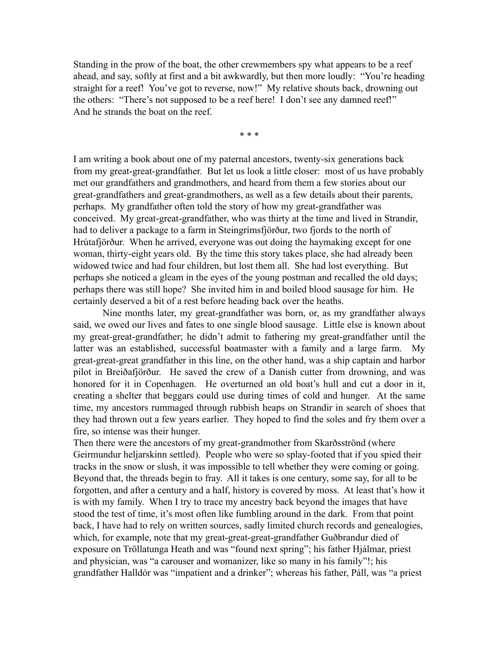Standing in the prow of the boat, the other crewmembers spy what appears to be a reef ahead, and say, softly at first and a bit awkwardly, but then more loudly: "You're heading straight for a reef! You've got to reverse, now!" My relative shouts back, drowning out the others: "There's not supposed to be a reef here! I don't see any damned reef!" And he strands the boat on the reef.

\* \* \*

I am writing a book about one of my paternal ancestors, twenty-six generations back from my great-great-grandfather. But let us look a little closer: most of us have probably met our grandfathers and grandmothers, and heard from them a few stories about our great-grandfathers and great-grandmothers, as well as a few details about their parents, perhaps. My grandfather often told the story of how my great-grandfather was conceived. My great-great-grandfather, who was thirty at the time and lived in Strandir, had to deliver a package to a farm in Steingrímsfjörður, two fjords to the north of Hrútafjörður. When he arrived, everyone was out doing the haymaking except for one woman, thirty-eight years old. By the time this story takes place, she had already been widowed twice and had four children, but lost them all. She had lost everything. But perhaps she noticed a gleam in the eyes of the young postman and recalled the old days; perhaps there was still hope? She invited him in and boiled blood sausage for him. He certainly deserved a bit of a rest before heading back over the heaths.

Nine months later, my great-grandfather was born, or, as my grandfather always said, we owed our lives and fates to one single blood sausage. Little else is known about my great-great-grandfather; he didn't admit to fathering my great-grandfather until the latter was an established, successful boatmaster with a family and a large farm. My great-great-great grandfather in this line, on the other hand, was a ship captain and harbor pilot in Breiðafjörður. He saved the crew of a Danish cutter from drowning, and was honored for it in Copenhagen. He overturned an old boat's hull and cut a door in it, creating a shelter that beggars could use during times of cold and hunger. At the same time, my ancestors rummaged through rubbish heaps on Strandir in search of shoes that they had thrown out a few years earlier. They hoped to find the soles and fry them over a fire, so intense was their hunger.

Then there were the ancestors of my great-grandmother from Skarðsströnd (where Geirmundur heljarskinn settled). People who were so splay-footed that if you spied their tracks in the snow or slush, it was impossible to tell whether they were coming or going. Beyond that, the threads begin to fray. All it takes is one century, some say, for all to be forgotten, and after a century and a half, history is covered by moss. At least that's how it is with my family. When I try to trace my ancestry back beyond the images that have stood the test of time, it's most often like fumbling around in the dark. From that point back, I have had to rely on written sources, sadly limited church records and genealogies, which, for example, note that my great-great-great-grandfather Guðbrandur died of exposure on Tröllatunga Heath and was "found next spring"; his father Hjálmar, priest and physician, was "a carouser and womanizer, like so many in his family"!; his grandfather Halldór was "impatient and a drinker"; whereas his father, Páll, was "a priest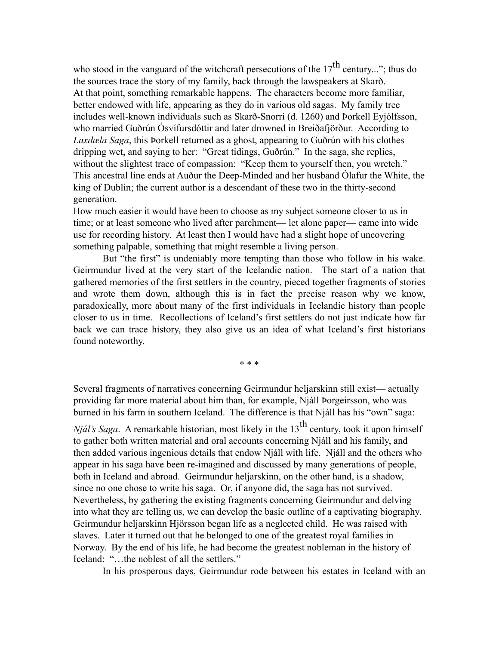who stood in the vanguard of the witchcraft persecutions of the  $17<sup>th</sup>$  century..."; thus do the sources trace the story of my family, back through the lawspeakers at Skarð. At that point, something remarkable happens. The characters become more familiar, better endowed with life, appearing as they do in various old sagas. My family tree includes well-known individuals such as Skarð-Snorri (d. 1260) and Þorkell Eyjólfsson, who married Guðrún Ósvífursdóttir and later drowned in Breiðafjörður. According to *Laxdæla Saga*, this Þorkell returned as a ghost, appearing to Guðrún with his clothes dripping wet, and saying to her: "Great tidings, Guðrún." In the saga, she replies, without the slightest trace of compassion: "Keep them to yourself then, you wretch." This ancestral line ends at Auður the Deep-Minded and her husband Ólafur the White, the king of Dublin; the current author is a descendant of these two in the thirty-second generation.

How much easier it would have been to choose as my subject someone closer to us in time; or at least someone who lived after parchment— let alone paper— came into wide use for recording history. At least then I would have had a slight hope of uncovering something palpable, something that might resemble a living person.

But "the first" is undeniably more tempting than those who follow in his wake. Geirmundur lived at the very start of the Icelandic nation. The start of a nation that gathered memories of the first settlers in the country, pieced together fragments of stories and wrote them down, although this is in fact the precise reason why we know, paradoxically, more about many of the first individuals in Icelandic history than people closer to us in time. Recollections of Iceland's first settlers do not just indicate how far back we can trace history, they also give us an idea of what Iceland's first historians found noteworthy.

\* \* \*

Several fragments of narratives concerning Geirmundur heljarskinn still exist— actually providing far more material about him than, for example, Njáll Þorgeirsson, who was burned in his farm in southern Iceland. The difference is that Njáll has his "own" saga:

*Njál's Saga.* A remarkable historian, most likely in the 13<sup>th</sup> century, took it upon himself to gather both written material and oral accounts concerning Njáll and his family, and then added various ingenious details that endow Njáll with life. Njáll and the others who appear in his saga have been re-imagined and discussed by many generations of people, both in Iceland and abroad. Geirmundur heljarskinn, on the other hand, is a shadow, since no one chose to write his saga. Or, if anyone did, the saga has not survived. Nevertheless, by gathering the existing fragments concerning Geirmundur and delving into what they are telling us, we can develop the basic outline of a captivating biography. Geirmundur heljarskinn Hjörsson began life as a neglected child. He was raised with slaves. Later it turned out that he belonged to one of the greatest royal families in Norway. By the end of his life, he had become the greatest nobleman in the history of Iceland: "…the noblest of all the settlers."

In his prosperous days, Geirmundur rode between his estates in Iceland with an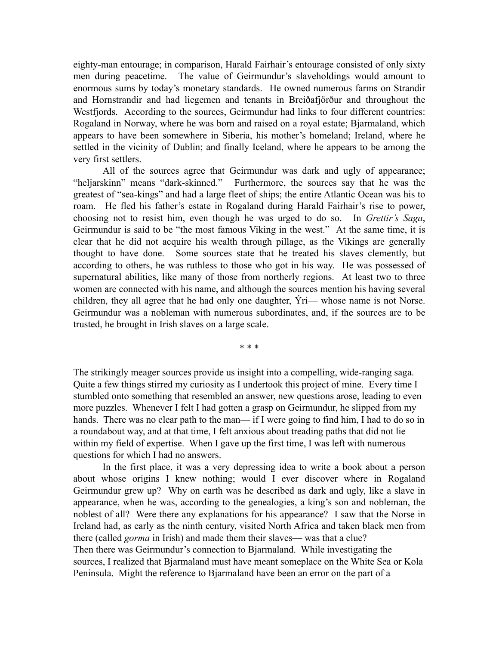eighty-man entourage; in comparison, Harald Fairhair's entourage consisted of only sixty men during peacetime. The value of Geirmundur's slaveholdings would amount to enormous sums by today's monetary standards. He owned numerous farms on Strandir and Hornstrandir and had liegemen and tenants in Breiðafjörður and throughout the Westfjords. According to the sources, Geirmundur had links to four different countries: Rogaland in Norway, where he was born and raised on a royal estate; Bjarmaland, which appears to have been somewhere in Siberia, his mother's homeland; Ireland, where he settled in the vicinity of Dublin; and finally Iceland, where he appears to be among the very first settlers.

All of the sources agree that Geirmundur was dark and ugly of appearance; "heljarskinn" means "dark-skinned." Furthermore, the sources say that he was the greatest of "sea-kings" and had a large fleet of ships; the entire Atlantic Ocean was his to roam. He fled his father's estate in Rogaland during Harald Fairhair's rise to power, choosing not to resist him, even though he was urged to do so. In *Grettir's Saga*, Geirmundur is said to be "the most famous Viking in the west." At the same time, it is clear that he did not acquire his wealth through pillage, as the Vikings are generally thought to have done. Some sources state that he treated his slaves clemently, but according to others, he was ruthless to those who got in his way. He was possessed of supernatural abilities, like many of those from northerly regions. At least two to three women are connected with his name, and although the sources mention his having several children, they all agree that he had only one daughter,  $\acute{Y}$ ri— whose name is not Norse. Geirmundur was a nobleman with numerous subordinates, and, if the sources are to be trusted, he brought in Irish slaves on a large scale.

\* \* \*

The strikingly meager sources provide us insight into a compelling, wide-ranging saga. Quite a few things stirred my curiosity as I undertook this project of mine. Every time I stumbled onto something that resembled an answer, new questions arose, leading to even more puzzles. Whenever I felt I had gotten a grasp on Geirmundur, he slipped from my hands. There was no clear path to the man— if I were going to find him, I had to do so in a roundabout way, and at that time, I felt anxious about treading paths that did not lie within my field of expertise. When I gave up the first time, I was left with numerous questions for which I had no answers.

In the first place, it was a very depressing idea to write a book about a person about whose origins I knew nothing; would I ever discover where in Rogaland Geirmundur grew up? Why on earth was he described as dark and ugly, like a slave in appearance, when he was, according to the genealogies, a king's son and nobleman, the noblest of all? Were there any explanations for his appearance? I saw that the Norse in Ireland had, as early as the ninth century, visited North Africa and taken black men from there (called *gorma* in Irish) and made them their slaves— was that a clue? Then there was Geirmundur's connection to Bjarmaland. While investigating the sources, I realized that Bjarmaland must have meant someplace on the White Sea or Kola Peninsula. Might the reference to Bjarmaland have been an error on the part of a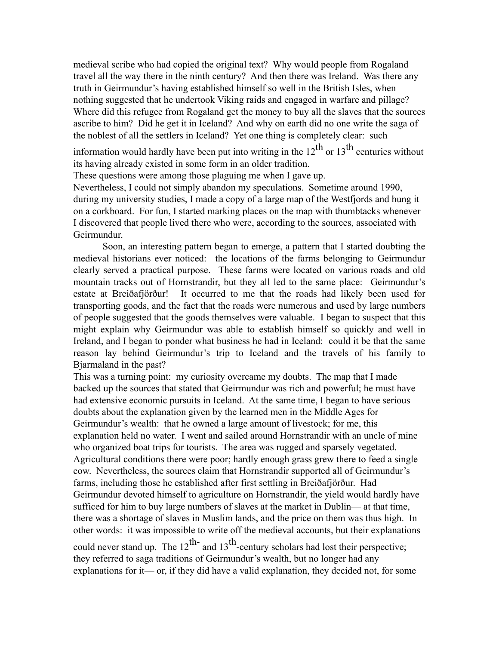medieval scribe who had copied the original text? Why would people from Rogaland travel all the way there in the ninth century? And then there was Ireland. Was there any truth in Geirmundur's having established himself so well in the British Isles, when nothing suggested that he undertook Viking raids and engaged in warfare and pillage? Where did this refugee from Rogaland get the money to buy all the slaves that the sources ascribe to him? Did he get it in Iceland? And why on earth did no one write the saga of the noblest of all the settlers in Iceland? Yet one thing is completely clear: such

information would hardly have been put into writing in the  $12^{th}$  or  $13^{th}$  centuries without its having already existed in some form in an older tradition.

These questions were among those plaguing me when I gave up.

Nevertheless, I could not simply abandon my speculations. Sometime around 1990, during my university studies, I made a copy of a large map of the Westfjords and hung it on a corkboard. For fun, I started marking places on the map with thumbtacks whenever I discovered that people lived there who were, according to the sources, associated with Geirmundur.

Soon, an interesting pattern began to emerge, a pattern that I started doubting the medieval historians ever noticed: the locations of the farms belonging to Geirmundur clearly served a practical purpose. These farms were located on various roads and old mountain tracks out of Hornstrandir, but they all led to the same place: Geirmundur's estate at Breiðafjörður! It occurred to me that the roads had likely been used for transporting goods, and the fact that the roads were numerous and used by large numbers of people suggested that the goods themselves were valuable. I began to suspect that this might explain why Geirmundur was able to establish himself so quickly and well in Ireland, and I began to ponder what business he had in Iceland: could it be that the same reason lay behind Geirmundur's trip to Iceland and the travels of his family to Bjarmaland in the past?

This was a turning point: my curiosity overcame my doubts. The map that I made backed up the sources that stated that Geirmundur was rich and powerful; he must have had extensive economic pursuits in Iceland. At the same time, I began to have serious doubts about the explanation given by the learned men in the Middle Ages for Geirmundur's wealth: that he owned a large amount of livestock; for me, this explanation held no water. I went and sailed around Hornstrandir with an uncle of mine who organized boat trips for tourists. The area was rugged and sparsely vegetated. Agricultural conditions there were poor; hardly enough grass grew there to feed a single cow. Nevertheless, the sources claim that Hornstrandir supported all of Geirmundur's farms, including those he established after first settling in Breiðafjörður. Had Geirmundur devoted himself to agriculture on Hornstrandir, the yield would hardly have sufficed for him to buy large numbers of slaves at the market in Dublin— at that time, there was a shortage of slaves in Muslim lands, and the price on them was thus high. In other words: it was impossible to write off the medieval accounts, but their explanations could never stand up. The  $12^{th}$  and  $13^{th}$ -century scholars had lost their perspective; they referred to saga traditions of Geirmundur's wealth, but no longer had any explanations for it— or, if they did have a valid explanation, they decided not, for some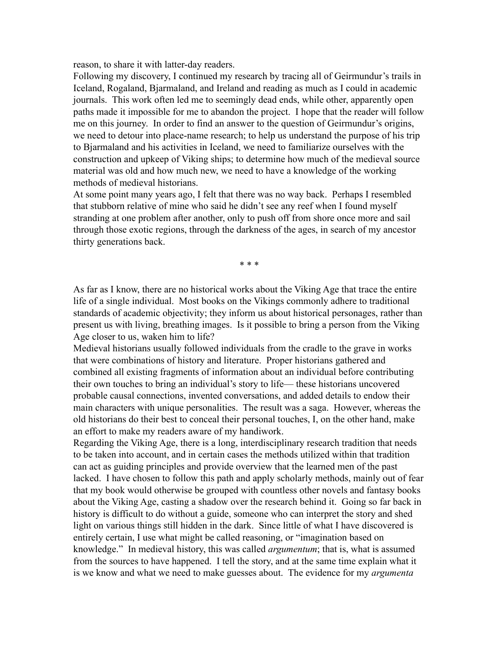reason, to share it with latter-day readers.

Following my discovery, I continued my research by tracing all of Geirmundur's trails in Iceland, Rogaland, Bjarmaland, and Ireland and reading as much as I could in academic journals. This work often led me to seemingly dead ends, while other, apparently open paths made it impossible for me to abandon the project. I hope that the reader will follow me on this journey. In order to find an answer to the question of Geirmundur's origins, we need to detour into place-name research; to help us understand the purpose of his trip to Bjarmaland and his activities in Iceland, we need to familiarize ourselves with the construction and upkeep of Viking ships; to determine how much of the medieval source material was old and how much new, we need to have a knowledge of the working methods of medieval historians.

At some point many years ago, I felt that there was no way back. Perhaps I resembled that stubborn relative of mine who said he didn't see any reef when I found myself stranding at one problem after another, only to push off from shore once more and sail through those exotic regions, through the darkness of the ages, in search of my ancestor thirty generations back.

\* \* \*

As far as I know, there are no historical works about the Viking Age that trace the entire life of a single individual. Most books on the Vikings commonly adhere to traditional standards of academic objectivity; they inform us about historical personages, rather than present us with living, breathing images. Is it possible to bring a person from the Viking Age closer to us, waken him to life?

Medieval historians usually followed individuals from the cradle to the grave in works that were combinations of history and literature. Proper historians gathered and combined all existing fragments of information about an individual before contributing their own touches to bring an individual's story to life— these historians uncovered probable causal connections, invented conversations, and added details to endow their main characters with unique personalities. The result was a saga. However, whereas the old historians do their best to conceal their personal touches, I, on the other hand, make an effort to make my readers aware of my handiwork.

Regarding the Viking Age, there is a long, interdisciplinary research tradition that needs to be taken into account, and in certain cases the methods utilized within that tradition can act as guiding principles and provide overview that the learned men of the past lacked. I have chosen to follow this path and apply scholarly methods, mainly out of fear that my book would otherwise be grouped with countless other novels and fantasy books about the Viking Age, casting a shadow over the research behind it. Going so far back in history is difficult to do without a guide, someone who can interpret the story and shed light on various things still hidden in the dark. Since little of what I have discovered is entirely certain, I use what might be called reasoning, or "imagination based on knowledge." In medieval history, this was called *argumentum*; that is, what is assumed from the sources to have happened. I tell the story, and at the same time explain what it is we know and what we need to make guesses about. The evidence for my *argumenta*